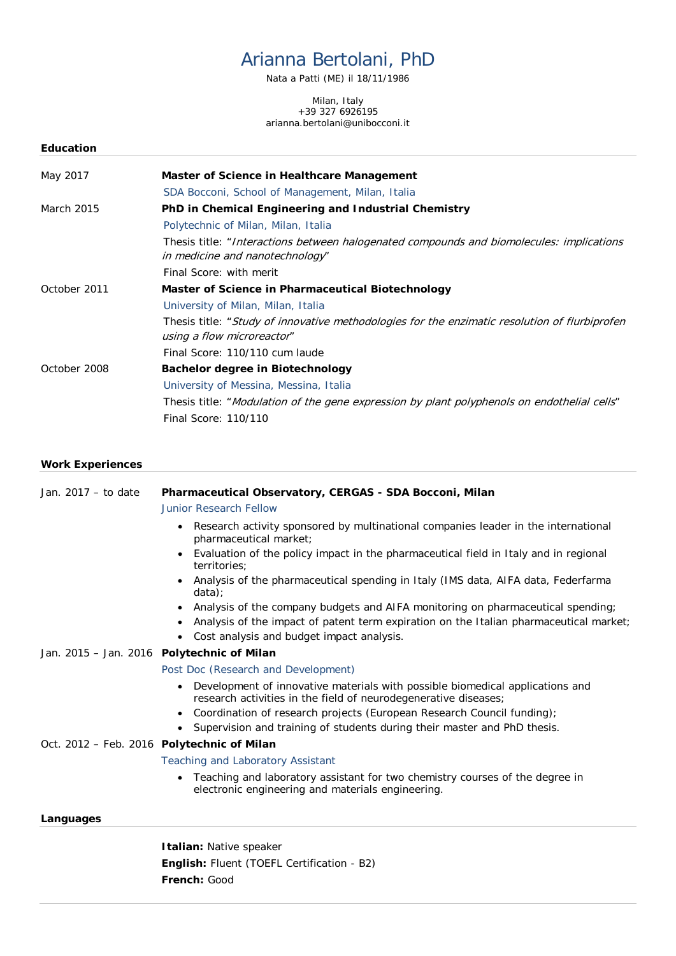# Arianna Bertolani, PhD

Nata a Patti (ME) il 18/11/1986

Milan, Italy +39 327 6926195 arianna.bertolani@unibocconi.it

| <b>Education</b> |                                                                                                                             |
|------------------|-----------------------------------------------------------------------------------------------------------------------------|
| May 2017         | Master of Science in Healthcare Management                                                                                  |
|                  | SDA Bocconi, School of Management, Milan, Italia                                                                            |
| March 2015       | PhD in Chemical Engineering and Industrial Chemistry                                                                        |
|                  | Polytechnic of Milan, Milan, Italia                                                                                         |
|                  | Thesis title: "Interactions between halogenated compounds and biomolecules: implications<br>in medicine and nanotechnology" |
|                  | Final Score: with merit                                                                                                     |
| October 2011     | Master of Science in Pharmaceutical Biotechnology                                                                           |
|                  | University of Milan, Milan, Italia                                                                                          |
|                  | Thesis title: "Study of innovative methodologies for the enzimatic resolution of flurbiprofen<br>using a flow microreactor" |
|                  | Final Score: 110/110 cum laude                                                                                              |
| October 2008     | <b>Bachelor degree in Biotechnology</b>                                                                                     |
|                  | University of Messina, Messina, Italia                                                                                      |
|                  | Thesis title: "Modulation of the gene expression by plant polyphenols on endothelial cells"                                 |
|                  | Final Score: 110/110                                                                                                        |

## **Work Experiences**

| Jan. 2017 - to date                        | Pharmaceutical Observatory, CERGAS - SDA Bocconi, Milan                                                                                                                                |
|--------------------------------------------|----------------------------------------------------------------------------------------------------------------------------------------------------------------------------------------|
|                                            | <b>Junior Research Fellow</b>                                                                                                                                                          |
|                                            | Research activity sponsored by multinational companies leader in the international<br>$\bullet$<br>pharmaceutical market;                                                              |
|                                            | Evaluation of the policy impact in the pharmaceutical field in Italy and in regional<br>territories;                                                                                   |
|                                            | Analysis of the pharmaceutical spending in Italy (IMS data, AIFA data, Federfarma<br>data)                                                                                             |
|                                            | Analysis of the company budgets and AIFA monitoring on pharmaceutical spending;<br>$\bullet$<br>Analysis of the impact of patent term expiration on the Italian pharmaceutical market; |
|                                            | • Cost analysis and budget impact analysis.                                                                                                                                            |
| Jan. 2015 - Jan. 2016 Polytechnic of Milan |                                                                                                                                                                                        |
|                                            | Post Doc (Research and Development)                                                                                                                                                    |
|                                            | Development of innovative materials with possible biomedical applications and<br>$\bullet$<br>research activities in the field of neurodegenerative diseases;                          |
|                                            | Coordination of research projects (European Research Council funding);                                                                                                                 |
|                                            | Supervision and training of students during their master and PhD thesis.                                                                                                               |
|                                            | Oct. 2012 - Feb. 2016 Polytechnic of Milan                                                                                                                                             |
|                                            | <b>Teaching and Laboratory Assistant</b>                                                                                                                                               |
|                                            | Teaching and laboratory assistant for two chemistry courses of the degree in<br>electronic engineering and materials engineering.                                                      |
| Languages                                  |                                                                                                                                                                                        |
|                                            | Italian: Native speaker                                                                                                                                                                |
|                                            | <b>English:</b> Fluent (TOEFL Certification - B2)                                                                                                                                      |
|                                            | French: Good                                                                                                                                                                           |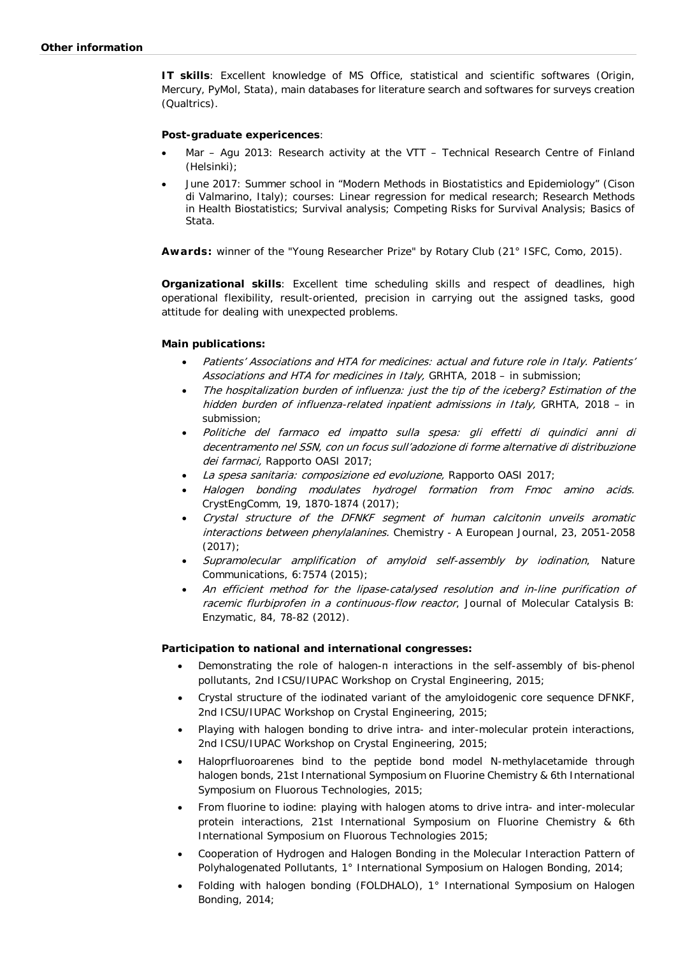**IT skills**: Excellent knowledge of MS Office, statistical and scientific softwares (Origin, Mercury, PyMol, Stata), main databases for literature search and softwares for surveys creation (Qualtrics).

### **Post-graduate expericences**:

- Mar Agu 2013: Research activity at the VTT Technical Research Centre of Finland (Helsinki);
- June 2017: Summer school in "Modern Methods in Biostatistics and Epidemiology" (Cison di Valmarino, Italy); courses: Linear regression for medical research; Research Methods in Health Biostatistics; Survival analysis; Competing Risks for Survival Analysis; Basics of Stata.

**Awards:** winner of the "Young Researcher Prize" by Rotary Club (21° ISFC, Como, 2015).

**Organizational skills**: Excellent time scheduling skills and respect of deadlines, high operational flexibility, result-oriented, precision in carrying out the assigned tasks, good attitude for dealing with unexpected problems.

#### **Main publications:**

- Patients' Associations and HTA for medicines: actual and future role in Italy. Patients' Associations and HTA for medicines in Italy, GRHTA, 2018 – in submission;
- The hospitalization burden of influenza: just the tip of the iceberg? Estimation of the hidden burden of influenza-related inpatient admissions in Italy, GRHTA, 2018 – in submission;
- Politiche del farmaco ed impatto sulla spesa: gli effetti di quindici anni di decentramento nel SSN, con un focus sull'adozione di forme alternative di distribuzione dei farmaci, Rapporto OASI 2017;
- La spesa sanitaria: composizione ed evoluzione, Rapporto OASI 2017;
- Halogen bonding modulates hydrogel formation from Fmoc amino acids. CrystEngComm, 19, 1870-1874 (2017);
- Crystal structure of the DFNKF segment of human calcitonin unveils aromatic interactions between phenylalanines. Chemistry - A European Journal, 23, 2051-2058 (2017);
- Supramolecular amplification of amyloid self-assembly by iodination, Nature Communications, 6:7574 (2015);
- An efficient method for the lipase-catalysed resolution and in-line purification of racemic flurbiprofen in a continuous-flow reactor, Journal of Molecular Catalysis B: Enzymatic, 84, 78-82 (2012).

#### **Participation to national and international congresses:**

- Demonstrating the role of halogen-π interactions in the self-assembly of bis-phenol pollutants, 2nd ICSU/IUPAC Workshop on Crystal Engineering, 2015;
- Crystal structure of the iodinated variant of the amyloidogenic core sequence DFNKF, 2nd ICSU/IUPAC Workshop on Crystal Engineering, 2015;
- Playing with halogen bonding to drive intra- and inter-molecular protein interactions, 2nd ICSU/IUPAC Workshop on Crystal Engineering, 2015;
- Haloprfluoroarenes bind to the peptide bond model N-methylacetamide through halogen bonds, 21st International Symposium on Fluorine Chemistry & 6th International Symposium on Fluorous Technologies, 2015;
- From fluorine to iodine: playing with halogen atoms to drive intra- and inter-molecular protein interactions, 21st International Symposium on Fluorine Chemistry & 6th International Symposium on Fluorous Technologies 2015;
- Cooperation of Hydrogen and Halogen Bonding in the Molecular Interaction Pattern of Polyhalogenated Pollutants, 1° International Symposium on Halogen Bonding, 2014;
- Folding with halogen bonding (FOLDHALO), 1° International Symposium on Halogen Bonding, 2014;